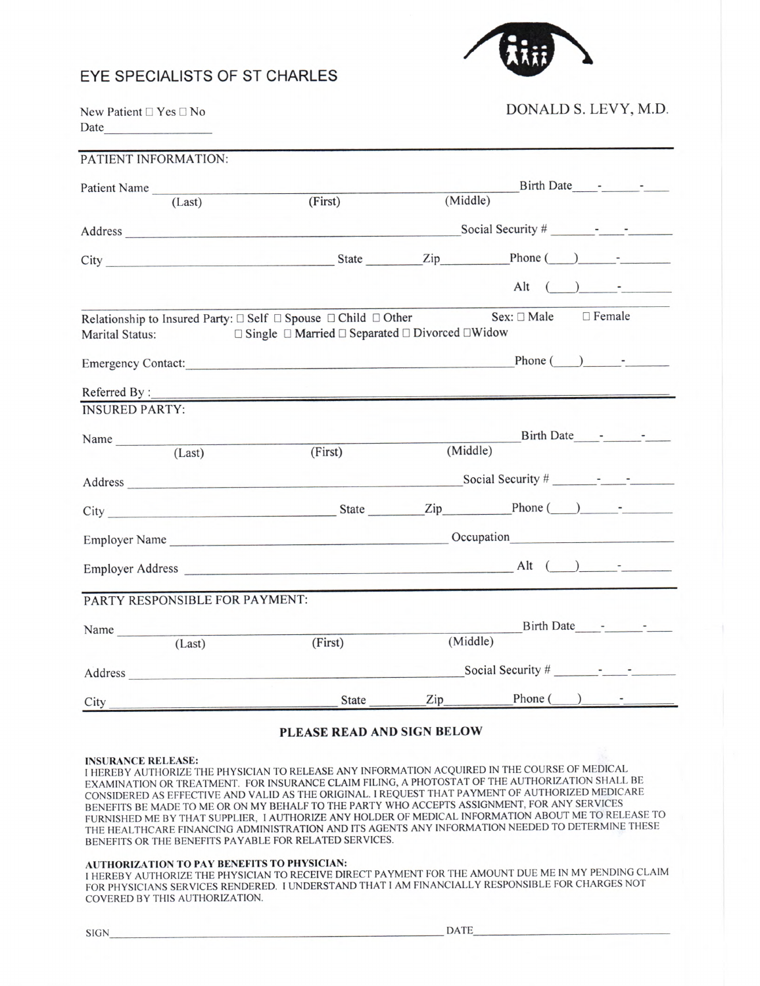## EYE SPECIALISTS OF ST CHARLES



New Patient ❑ Yes ❑ No Date

### DONALD S. LEVY, M.D.

| PATIENT INFORMATION:                                                                                                                                                                                                                                                                                                                                                                                                |                                                                                                                                                                                                                                |          |                              |
|---------------------------------------------------------------------------------------------------------------------------------------------------------------------------------------------------------------------------------------------------------------------------------------------------------------------------------------------------------------------------------------------------------------------|--------------------------------------------------------------------------------------------------------------------------------------------------------------------------------------------------------------------------------|----------|------------------------------|
|                                                                                                                                                                                                                                                                                                                                                                                                                     |                                                                                                                                                                                                                                |          | Birth Date - -               |
| Patient Name (Last)                                                                                                                                                                                                                                                                                                                                                                                                 | (First)                                                                                                                                                                                                                        | (Middle) |                              |
|                                                                                                                                                                                                                                                                                                                                                                                                                     |                                                                                                                                                                                                                                |          |                              |
|                                                                                                                                                                                                                                                                                                                                                                                                                     | City Phone ( ) - The Phone ( ) - The Phone ( ) - The Phone ( ) - The Phone ( ) - The Phone ( ) - The Phone ( ) - The Phone ( ) - The Phone ( ) - The Phone ( ) - The Phone ( ) - The Phone ( ) - The Phone ( ) - The Phone ( ) |          |                              |
|                                                                                                                                                                                                                                                                                                                                                                                                                     |                                                                                                                                                                                                                                |          | Alt $( )$ $-$                |
| Marital Status:                                                                                                                                                                                                                                                                                                                                                                                                     | Relationship to Insured Party: $\Box$ Self $\Box$ Spouse $\Box$ Child $\Box$ Other<br>$\Box$ Single $\Box$ Married $\Box$ Separated $\Box$ Divorced $\Box$ Widow                                                               |          | Sex: □ Male<br>$\Box$ Female |
|                                                                                                                                                                                                                                                                                                                                                                                                                     |                                                                                                                                                                                                                                |          |                              |
|                                                                                                                                                                                                                                                                                                                                                                                                                     |                                                                                                                                                                                                                                |          |                              |
| <b>INSURED PARTY:</b>                                                                                                                                                                                                                                                                                                                                                                                               |                                                                                                                                                                                                                                |          |                              |
|                                                                                                                                                                                                                                                                                                                                                                                                                     |                                                                                                                                                                                                                                |          | Birth Date                   |
| Name $\frac{1}{\sqrt{1-\frac{1}{1-\frac{1}{1-\frac{1}{1-\frac{1}{1-\frac{1}{1-\frac{1}{1-\frac{1}{1-\frac{1}{1-\frac{1}{1-\frac{1}{1-\frac{1}{1-\frac{1}{1-\frac{1}{1-\frac{1}{1-\frac{1}{1-\frac{1}{1-\frac{1}{1-\frac{1}{1-\frac{1}{1-\frac{1}{1-\frac{1}{1-\frac{1}{1-\frac{1}{1-\frac{1}{1-\frac{1}{1-\frac{1}{1-\frac{1}{1-\frac{1}{1-\frac{1}{1-\frac{1}{1-\frac{1}{1-\frac{1}{1-\frac{1}{1-\frac{1}{1-\frac$ | (First)                                                                                                                                                                                                                        | (Middle) |                              |
|                                                                                                                                                                                                                                                                                                                                                                                                                     |                                                                                                                                                                                                                                |          | Social Security $\#$ - -     |
|                                                                                                                                                                                                                                                                                                                                                                                                                     | City Phone ( ) -                                                                                                                                                                                                               |          |                              |
|                                                                                                                                                                                                                                                                                                                                                                                                                     |                                                                                                                                                                                                                                |          |                              |
|                                                                                                                                                                                                                                                                                                                                                                                                                     |                                                                                                                                                                                                                                |          |                              |
| PARTY RESPONSIBLE FOR PAYMENT:                                                                                                                                                                                                                                                                                                                                                                                      |                                                                                                                                                                                                                                |          |                              |
| Name $\frac{1}{\sqrt{1-\frac{1}{2}}}\left\{1-\frac{1}{2}, \frac{1}{2}, \frac{1}{2}\right\}$                                                                                                                                                                                                                                                                                                                         |                                                                                                                                                                                                                                |          | Birth Date - - - -           |
| (Last)                                                                                                                                                                                                                                                                                                                                                                                                              | (First)                                                                                                                                                                                                                        | (Middle) |                              |
|                                                                                                                                                                                                                                                                                                                                                                                                                     | Address                                                                                                                                                                                                                        |          | Social Security $\#$ - - -   |
|                                                                                                                                                                                                                                                                                                                                                                                                                     | State                                                                                                                                                                                                                          |          |                              |

#### PLEASE READ AND SIGN BELOW

#### INSURANCE RELEASE:

<sup>I</sup>HEREBY AUTHORIZE THE PHYSICIAN TO RELEASE ANY INFORMATION ACQUIRED IN THE COURSE OF MEDICAL EXAMINATION OR TREATMENT. FOR INSURANCE CLAIM FILING, A PHOTOSTAT OF THE AUTHORIZATION SHALL BE CONSIDERED AS EFFECTIVE AND VALID AS THE ORIGINAL. I REQUEST THAT PAYMENT OF AUTHORIZED MEDICARE BENEFITS BE MADE TO ME OR ON MY BEHALF TO THE PARTY WHO ACCEPTS ASSIGNMENT, FOR ANY SERVICES FURNISHED ME BY THAT SUPPLIER, I AUTHORIZE ANY HOLDER OF MEDICAL INFORMATION ABOUT ME TO RELEASE TO THE HEALTHCARE FINANCING ADMINISTRATION AND ITS AGENTS ANY INFORMATION NEEDED TO DETERMINE THESE BENEFITS OR THE BENEFITS PAYABLE FOR RELATED SERVICES.

#### AUTHORIZATION TO PAY BENEFITS TO PHYSICIAN:

<sup>I</sup>HEREBY AUTHORIZE THE PHYSICIAN TO RECEIVE DIRECT PAYMENT FOR THE AMOUNT DUE ME IN MY PENDING CLAIM FOR PHYSICIANS SERVICES RENDERED. I UNDERSTAND THAT I AM FINANCIALLY RESPONSIBLE FOR CHARGES NOT COVERED BY THIS AUTHORIZATION.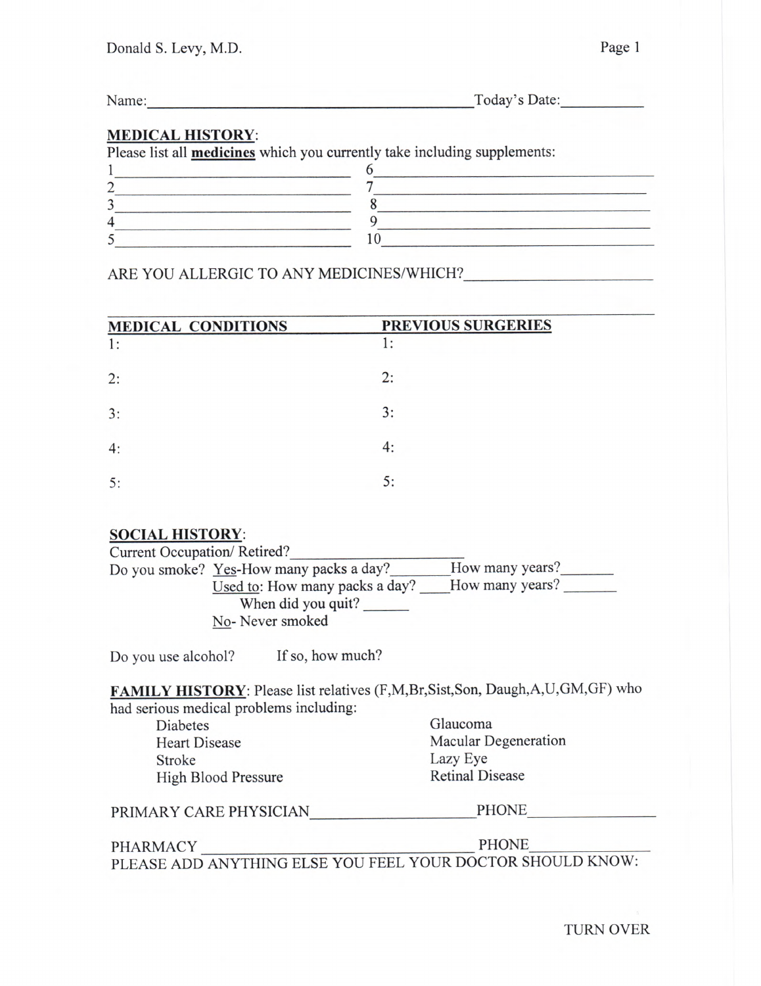| Name: | Today's Date: |
|-------|---------------|
|       |               |

### MEDICAL HISTORY:

Please list all **medicines** which you currently take including supplements:

### ARE YOU ALLERGIC TO ANY MEDICINES/WHICH?

| <b>MEDICAL CONDITIONS</b> | PREVIOUS SURGERIES |
|---------------------------|--------------------|
| 1:                        | 1:                 |
| 2:                        | 2:                 |
| 3:                        | 3:                 |
| 4:                        | 4:                 |
| 5:                        | 5:                 |

### SOCIAL HISTORY:

| Current Occupation/Retired? |                                         |                 |
|-----------------------------|-----------------------------------------|-----------------|
|                             | Do you smoke? Yes-How many packs a day? | How many years? |
|                             | Used to: How many packs a day?          | How many years? |
|                             | When did you quit?                      |                 |
|                             | No-Never smoked                         |                 |
|                             |                                         |                 |

Do you use alcohol? If so, how much?

FAMILY HISTORY: Please list relatives (F,M,Br,Sist,Son, Daugh,A,U,GM,GF) who had serious medical problems including:

| <b>Diabetes</b>      |  |
|----------------------|--|
| <b>Heart Disease</b> |  |
| Stroke               |  |
| High Blood Pressure  |  |

Glaucoma Macular Degeneration Lazy Eye Retinal Disease

| PRIMARY CARE PHYSICIAN | <b>PHONE</b> |  |
|------------------------|--------------|--|
|                        |              |  |

PHARMACY PHONE PLEASE ADD ANYTHING ELSE YOU FEEL YOUR DOCTOR SHOULD KNOW:

TURN OVER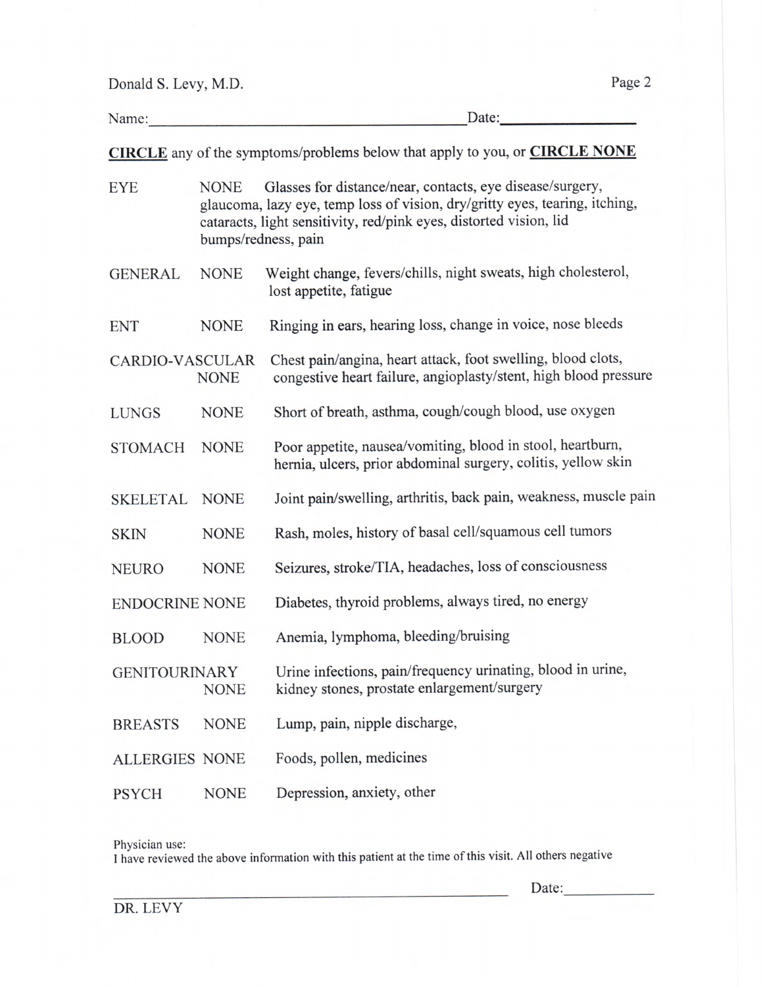Donald S. Levy, M.D. Page 2

Name: Date: Date:

CIRCLE any of the symptoms/problems below that apply to you, or CIRCLE NONE

| Glasses for distance/near, contacts, eye disease/surgery,<br><b>EYE</b><br><b>NONE</b><br>glaucoma, lazy eye, temp loss of vision, dry/gritty eyes, tearing, itching,<br>cataracts, light sensitivity, red/pink eyes, distorted vision, lid<br>bumps/redness, pain |             |                                                                                                                                  |
|--------------------------------------------------------------------------------------------------------------------------------------------------------------------------------------------------------------------------------------------------------------------|-------------|----------------------------------------------------------------------------------------------------------------------------------|
| <b>GENERAL</b>                                                                                                                                                                                                                                                     | <b>NONE</b> | Weight change, fevers/chills, night sweats, high cholesterol,<br>lost appetite, fatigue                                          |
| <b>ENT</b>                                                                                                                                                                                                                                                         | <b>NONE</b> | Ringing in ears, hearing loss, change in voice, nose bleeds                                                                      |
| <b>CARDIO-VASCULAR</b>                                                                                                                                                                                                                                             | <b>NONE</b> | Chest pain/angina, heart attack, foot swelling, blood clots,<br>congestive heart failure, angioplasty/stent, high blood pressure |
| <b>LUNGS</b>                                                                                                                                                                                                                                                       | <b>NONE</b> | Short of breath, asthma, cough/cough blood, use oxygen                                                                           |
| <b>STOMACH</b>                                                                                                                                                                                                                                                     | <b>NONE</b> | Poor appetite, nausea/vomiting, blood in stool, heartburn,<br>hernia, ulcers, prior abdominal surgery, colitis, yellow skin      |
| <b>SKELETAL</b>                                                                                                                                                                                                                                                    | <b>NONE</b> | Joint pain/swelling, arthritis, back pain, weakness, muscle pain                                                                 |
| <b>SKIN</b>                                                                                                                                                                                                                                                        | <b>NONE</b> | Rash, moles, history of basal cell/squamous cell tumors                                                                          |
| <b>NEURO</b>                                                                                                                                                                                                                                                       | <b>NONE</b> | Seizures, stroke/TIA, headaches, loss of consciousness                                                                           |
| <b>ENDOCRINE NONE</b>                                                                                                                                                                                                                                              |             | Diabetes, thyroid problems, always tired, no energy                                                                              |
| <b>BLOOD</b>                                                                                                                                                                                                                                                       | <b>NONE</b> | Anemia, lymphoma, bleeding/bruising                                                                                              |
| <b>GENITOURINARY</b>                                                                                                                                                                                                                                               | <b>NONE</b> | Urine infections, pain/frequency urinating, blood in urine,<br>kidney stones, prostate enlargement/surgery                       |
| <b>BREASTS</b>                                                                                                                                                                                                                                                     | <b>NONE</b> | Lump, pain, nipple discharge,                                                                                                    |
| <b>ALLERGIES NONE</b>                                                                                                                                                                                                                                              |             | Foods, pollen, medicines                                                                                                         |
| <b>PSYCH</b>                                                                                                                                                                                                                                                       | <b>NONE</b> | Depression, anxiety, other                                                                                                       |

Physician use:

<sup>I</sup>have reviewed the above information with this patient at the time of this visit. All others negative

Date: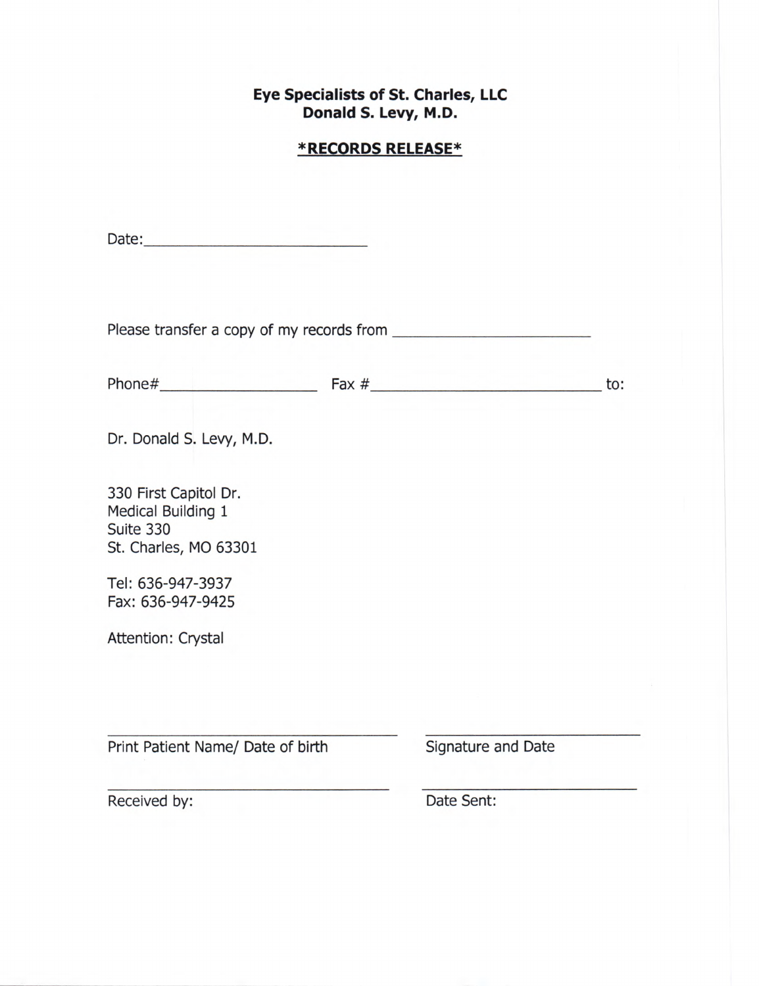## Eye Specialists of St. Charles, LLC Donald S. Levy, M.D.

# \*RECORDS RELEASE\*

|                                                                                   |                    | to: |
|-----------------------------------------------------------------------------------|--------------------|-----|
| Dr. Donald S. Levy, M.D.                                                          |                    |     |
| 330 First Capitol Dr.<br>Medical Building 1<br>Suite 330<br>St. Charles, MO 63301 |                    |     |
| Tel: 636-947-3937<br>Fax: 636-947-9425                                            |                    |     |
| Attention: Crystal                                                                |                    |     |
|                                                                                   |                    |     |
| Print Patient Name/ Date of birth                                                 | Signature and Date |     |
| Received by:                                                                      | Date Sent:         |     |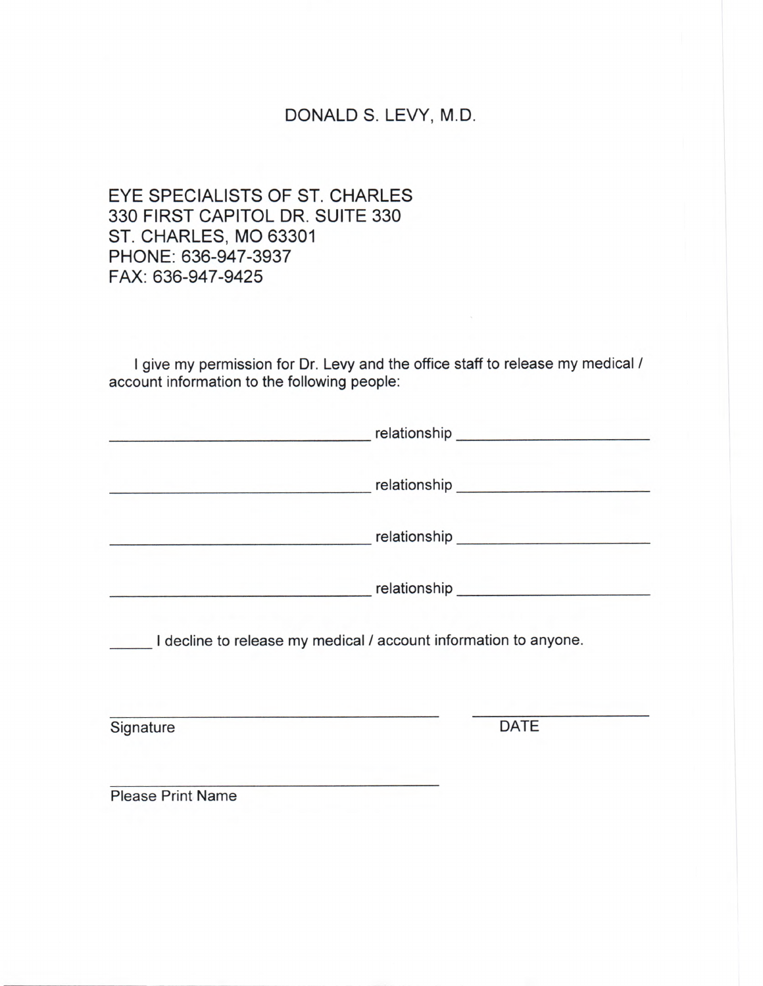# DONALD S. LEVY, M.D.

EYE SPECIALISTS OF ST. CHARLES 330 FIRST CAPITOL DR. SUITE 330 ST. CHARLES, MO 63301 PHONE: 636-947-3937 FAX: 636-947-9425

I give my permission for Dr. Levy and the office staff to release my medical / account information to the following people:

|                          | I decline to release my medical / account information to anyone. |  |
|--------------------------|------------------------------------------------------------------|--|
| Signature                | <b>DATE</b>                                                      |  |
| <b>Please Print Name</b> |                                                                  |  |